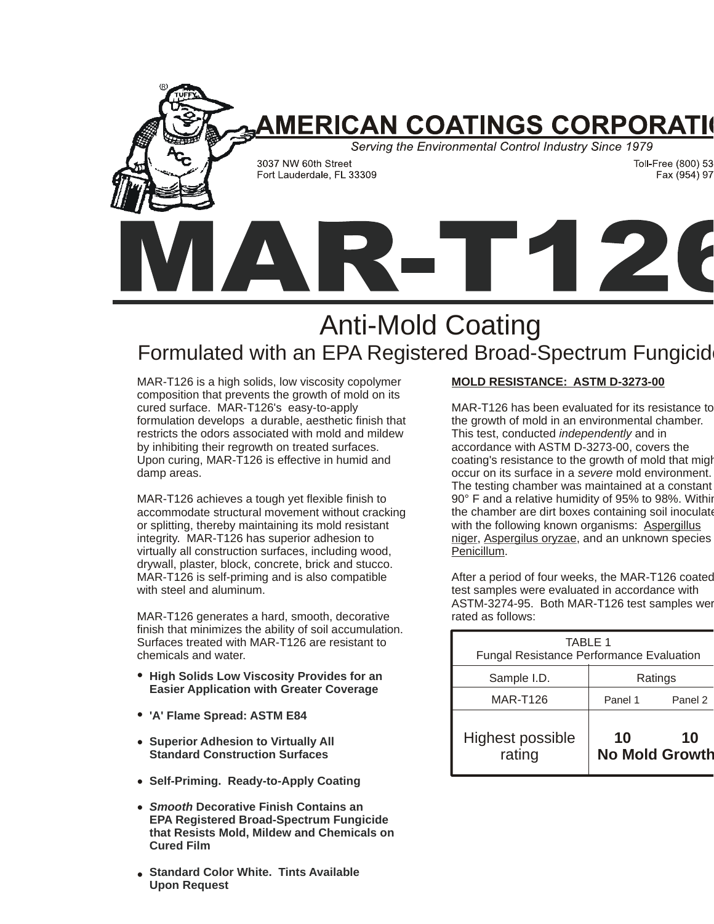

# Anti-Mold Coating Formulated with an EPA Registered Broad-Spectrum Fungicid

MAR-T126 is a high solids, low viscosity copolymer composition that prevents the growth of mold on its cured surface. MAR-T126's easy-to-apply formulation develops a durable, aesthetic finish that restricts the odors associated with mold and mildew by inhibiting their regrowth on treated surfaces. Upon curing, MAR-T126 is effective in humid and damp areas.

MAR-T126 achieves a tough yet flexible finish to accommodate structural movement without cracking or splitting, thereby maintaining its mold resistant integrity. MAR-T126 has superior adhesion to virtually all construction surfaces, including wood, drywall, plaster, block, concrete, brick and stucco. MAR-T126 is self-priming and is also compatible with steel and aluminum.

MAR-T126 generates a hard, smooth, decorative finish that minimizes the ability of soil accumulation. Surfaces treated with MAR-T126 are resistant to chemicals and water.

- **•** High Solids Low Viscosity Provides for an **Easier Application with Greater Coverage**
- **'A' Flame Spread: ASTM E84 •**
- **•** Superior Adhesion to Virtually All **Standard Construction Surfaces**
- **Self-Priming. Ready-to-Apply Coating •**
- **Smooth Decorative Finish Contains an EPA Registered Broad-Spectrum Fungicide that Resists Mold, Mildew and Chemicals on Cured Film**
- **Standard Color White. Tints Available Upon Request •**

### **MOLD RESISTANCE: ASTM D-3273-00**

MAR-T126 has been evaluated for its resistance to the growth of mold in an environmental chamber. This test, conducted *independently* and in accordance with ASTM D-3273-00, covers the coating's resistance to the growth of mold that migh occur on its surface in a severe mold environment. The testing chamber was maintained at a constant 90° F and a relative humidity of 95% to 98%. Withir the chamber are dirt boxes containing soil inoculate with the following known organisms: **Aspergillus** niger, Aspergilus oryzae, and an unknown species Penicillum.

After a period of four weeks, the MAR-T126 coated test samples were evaluated in accordance with ASTM-3274-95. Both MAR-T126 test samples wer rated as follows:

| TABLE 1<br><b>Fungal Resistance Performance Evaluation</b> |         |                             |
|------------------------------------------------------------|---------|-----------------------------|
| Sample I.D.                                                | Ratings |                             |
| <b>MAR-T126</b>                                            | Panel 1 | Panel 2                     |
| <b>Highest possible</b><br>rating                          | 10      | 10<br><b>No Mold Growth</b> |